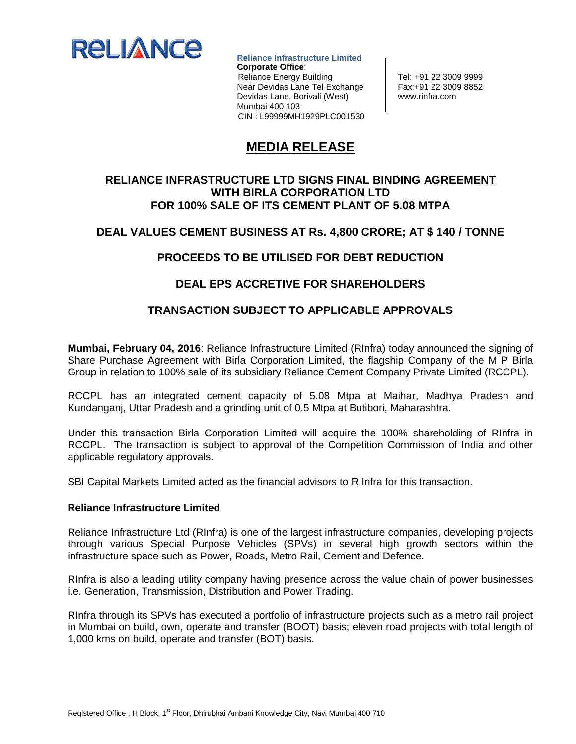

 **Reliance Infrastructure Limited Corporate Office**: Reliance Energy Building Fel: +91 22 3009 9999<br>Near Devidas Lane Tel Exchange Fax: +91 22 3009 8852 Near Devidas Lane Tel Exchange Devidas Lane, Borivali (West) | www.rinfra.com Mumbai 400 103 CIN : L99999MH1929PLC001530

# **MEDIA RELEASE**

### **RELIANCE INFRASTRUCTURE LTD SIGNS FINAL BINDING AGREEMENT WITH BIRLA CORPORATION LTD FOR 100% SALE OF ITS CEMENT PLANT OF 5.08 MTPA**

### **DEAL VALUES CEMENT BUSINESS AT Rs. 4,800 CRORE; AT \$ 140 / TONNE**

# **PROCEEDS TO BE UTILISED FOR DEBT REDUCTION**

# **DEAL EPS ACCRETIVE FOR SHAREHOLDERS**

### **TRANSACTION SUBJECT TO APPLICABLE APPROVALS**

**Mumbai, February 04, 2016**: Reliance Infrastructure Limited (RInfra) today announced the signing of Share Purchase Agreement with Birla Corporation Limited, the flagship Company of the M P Birla Group in relation to 100% sale of its subsidiary Reliance Cement Company Private Limited (RCCPL).

RCCPL has an integrated cement capacity of 5.08 Mtpa at Maihar, Madhya Pradesh and Kundanganj, Uttar Pradesh and a grinding unit of 0.5 Mtpa at Butibori, Maharashtra.

Under this transaction Birla Corporation Limited will acquire the 100% shareholding of RInfra in RCCPL. The transaction is subject to approval of the Competition Commission of India and other applicable regulatory approvals.

SBI Capital Markets Limited acted as the financial advisors to R Infra for this transaction.

#### **Reliance Infrastructure Limited**

Reliance Infrastructure Ltd (RInfra) is one of the largest infrastructure companies, developing projects through various Special Purpose Vehicles (SPVs) in several high growth sectors within the infrastructure space such as Power, Roads, Metro Rail, Cement and Defence.

RInfra is also a leading utility company having presence across the value chain of power businesses i.e. Generation, Transmission, Distribution and Power Trading.

RInfra through its SPVs has executed a portfolio of infrastructure projects such as a metro rail project in Mumbai on build, own, operate and transfer (BOOT) basis; eleven road projects with total length of 1,000 kms on build, operate and transfer (BOT) basis.